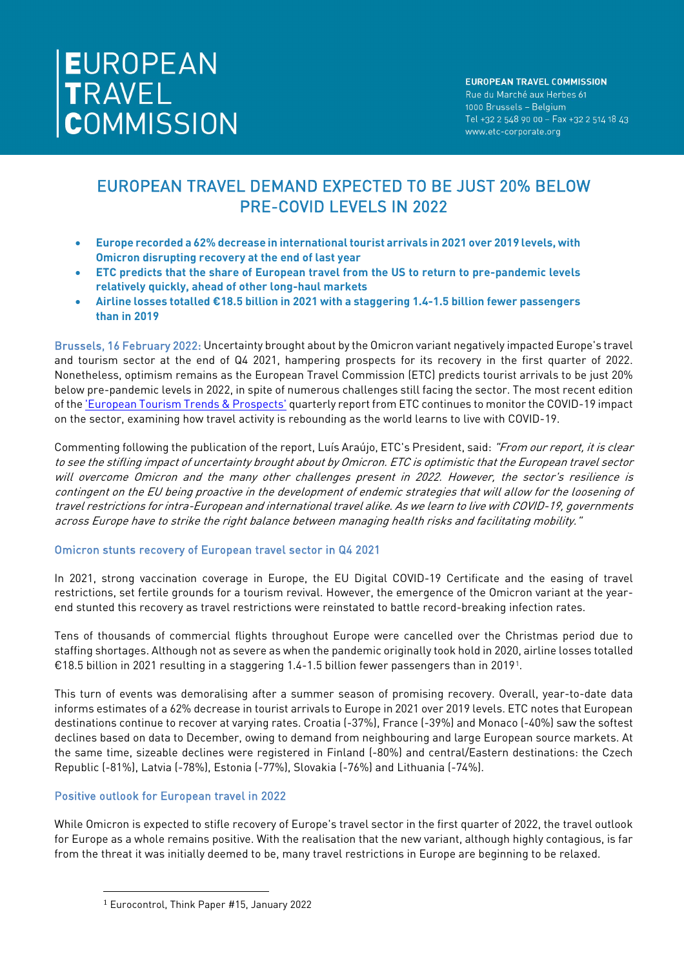# EUROPEAN TRAVEL DEMAND EXPECTED TO BE JUST 20% BELOW PRE-COVID LEVELS IN 2022

- **Europe recorded a 62% decrease in international tourist arrivals in 2021 over 2019 levels, with Omicron disrupting recovery at the end of last year**
- **ETC predicts that the share of European travel from the US to return to pre-pandemic levels relatively quickly, ahead of other long-haul markets**
- **Airline losses totalled €18.5 billion in 2021 with a staggering 1.4-1.5 billion fewer passengers than in 2019**

Brussels, 16 February 2022: Uncertainty brought about by the Omicron variant negatively impacted Europe's travel and tourism sector at the end of Q4 2021, hampering prospects for its recovery in the first quarter of 2022. Nonetheless, optimism remains as the European Travel Commission (ETC) predicts tourist arrivals to be just 20% below pre-pandemic levels in 2022, in spite of numerous challenges still facing the sector. The most recent edition of th[e 'European Tourism Trends & Prospects'](https://etc-corporate.org/reports/european-tourism-2021-trends-prospects-q4-2021/) quarterly report from ETC continues to monitor the COVID-19 impact on the sector, examining how travel activity is rebounding as the world learns to live with COVID-19.

Commenting following the publication of the report, Luís Araújo, ETC's President, said: "From our report, it is clear to see the stifling impact of uncertainty brought about by Omicron. ETC is optimistic that the European travel sector will overcome Omicron and the many other challenges present in 2022. However, the sector's resilience is contingent on the EU being proactive in the development of endemic strategies that will allow for the loosening of travel restrictions for intra-European and international travel alike. As we learn to live with COVID-19, governments across Europe have to strike the right balance between managing health risks and facilitating mobility."

# Omicron stunts recovery of European travel sector in Q4 2021

In 2021, strong vaccination coverage in Europe, the EU Digital COVID-19 Certificate and the easing of travel restrictions, set fertile grounds for a tourism revival. However, the emergence of the Omicron variant at the yearend stunted this recovery as travel restrictions were reinstated to battle record-breaking infection rates.

Tens of thousands of commercial flights throughout Europe were cancelled over the Christmas period due to staffing shortages. Although not as severe as when the pandemic originally took hold in 2020, airline losses totalled €18.5 billion in 2021 resulting in a staggering 1.4-1.5 billion fewer passengers than in 2019[1.](#page-0-0)

This turn of events was demoralising after a summer season of promising recovery. Overall, year-to-date data informs estimates of a 62% decrease in tourist arrivals to Europe in 2021 over 2019 levels. ETC notes that European destinations continue to recover at varying rates. Croatia (-37%), France (-39%) and Monaco (-40%) saw the softest declines based on data to December, owing to demand from neighbouring and large European source markets. At the same time, sizeable declines were registered in Finland (-80%) and central/Eastern destinations: the Czech Republic (-81%), Latvia (-78%), Estonia (-77%), Slovakia (-76%) and Lithuania (-74%).

# Positive outlook for European travel in 2022

<span id="page-0-0"></span>While Omicron is expected to stifle recovery of Europe's travel sector in the first quarter of 2022, the travel outlook for Europe as a whole remains positive. With the realisation that the new variant, although highly contagious, is far from the threat it was initially deemed to be, many travel restrictions in Europe are beginning to be relaxed.

<sup>1</sup> Eurocontrol, Think Paper #15, January 2022